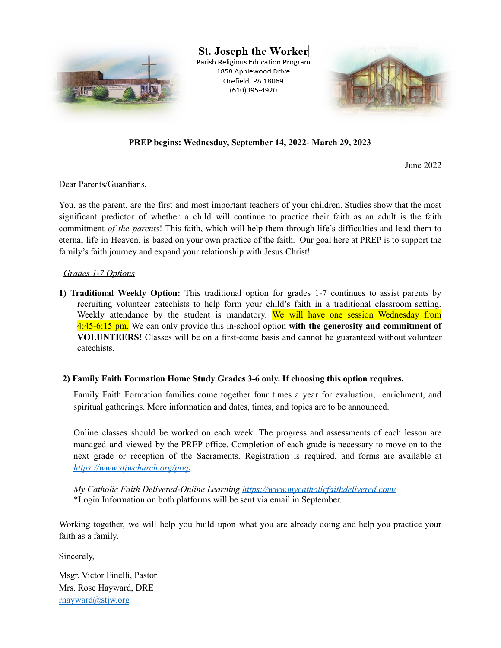

St. Joseph the Worker Parish Religious Education Program 1858 Applewood Drive Orefield, PA 18069 (610)395-4920



**PREP begins: Wednesday, September 14, 2022- March 29, 2023**

June 2022

Dear Parents/Guardians,

You, as the parent, are the first and most important teachers of your children. Studies show that the most significant predictor of whether a child will continue to practice their faith as an adult is the faith commitment *of the parents*! This faith, which will help them through life's difficulties and lead them to eternal life in Heaven, is based on your own practice of the faith. Our goal here at PREP is to support the family's faith journey and expand your relationship with Jesus Christ!

#### *Grades 1-7 Options*

**1) Traditional Weekly Option:** This traditional option for grades 1-7 continues to assist parents by recruiting volunteer catechists to help form your child's faith in a traditional classroom setting. Weekly attendance by the student is mandatory. We will have one session Wednesday from 4:45-6:15 pm. We can only provide this in-school option **with the generosity and commitment of VOLUNTEERS!** Classes will be on a first-come basis and cannot be guaranteed without volunteer catechists.

#### **2) Family Faith Formation Home Study Grades 3-6 only. If choosing this option requires.**

Family Faith Formation families come together four times a year for evaluation, enrichment, and spiritual gatherings. More information and dates, times, and topics are to be announced.

Online classes should be worked on each week. The progress and assessments of each lesson are managed and viewed by the PREP office. Completion of each grade is necessary to move on to the next grade or reception of the Sacraments. Registration is required, and forms are available at *https://www.stjwchurch.org/prep.*

*My Catholic Faith Delivered-Online Learning https://www.mycatholicfaithdelivered.com/* \*Login Information on both platforms will be sent via email in September.

Working together, we will help you build upon what you are already doing and help you practice your faith as a family.

Sincerely,

Msgr. Victor Finelli, Pastor Mrs. Rose Hayward, DRE rhayward@stjw.org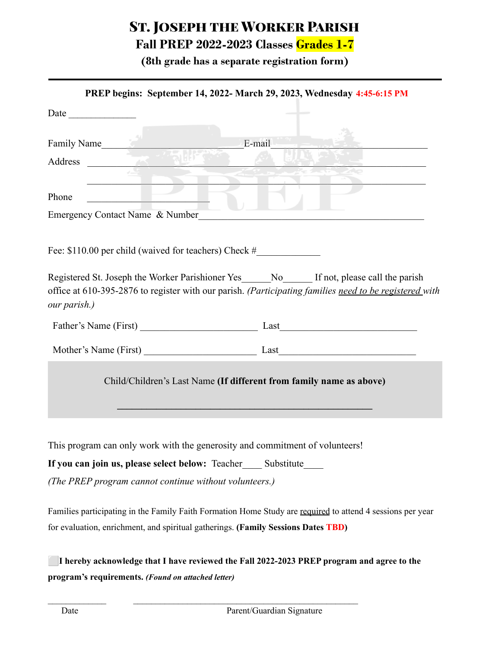# St. Joseph the Worker Parish

## **Fall PREP 2022-2023 Classes Grades 1-7**

**(8th grade has a separate registration form)**

|                                                                                                                | PREP begins: September 14, 2022- March 29, 2023, Wednesday 4:45-6:15 PM                                |
|----------------------------------------------------------------------------------------------------------------|--------------------------------------------------------------------------------------------------------|
| Date $\qquad \qquad$                                                                                           |                                                                                                        |
| Family Name                                                                                                    | E-mail                                                                                                 |
| Address                                                                                                        |                                                                                                        |
|                                                                                                                |                                                                                                        |
| Phone                                                                                                          |                                                                                                        |
| Emergency Contact Name & Number                                                                                |                                                                                                        |
| Fee: \$110.00 per child (waived for teachers) Check #_____________________________                             |                                                                                                        |
| Registered St. Joseph the Worker Parishioner Yes______No_______ If not, please call the parish<br>our parish.) | office at 610-395-2876 to register with our parish. (Participating families need to be registered with |
| Father's Name (First) Last                                                                                     |                                                                                                        |
| Mother's Name (First) Last                                                                                     |                                                                                                        |
|                                                                                                                | Child/Children's Last Name (If different from family name as above)                                    |
| This program can only work with the generosity and commitment of volunteers!                                   |                                                                                                        |
|                                                                                                                |                                                                                                        |
| If you can join us, please select below: Teacher______ Substitute______                                        |                                                                                                        |
| (The PREP program cannot continue without volunteers.)                                                         |                                                                                                        |
| Families participating in the Family Faith Formation Home Study are required to attend 4 sessions per year     |                                                                                                        |
| for evaluation, enrichment, and spiritual gatherings. (Family Sessions Dates TBD)                              |                                                                                                        |

⬜**I hereby acknowledge that I have reviewed the Fall 2022-2023 PREP program and agree to the program's requirements.** *(Found on attached letter)*

 $\mathcal{L}_\text{max} = \frac{1}{2} \sum_{i=1}^n \mathcal{L}_\text{max}(\mathbf{z}_i - \mathbf{z}_i)$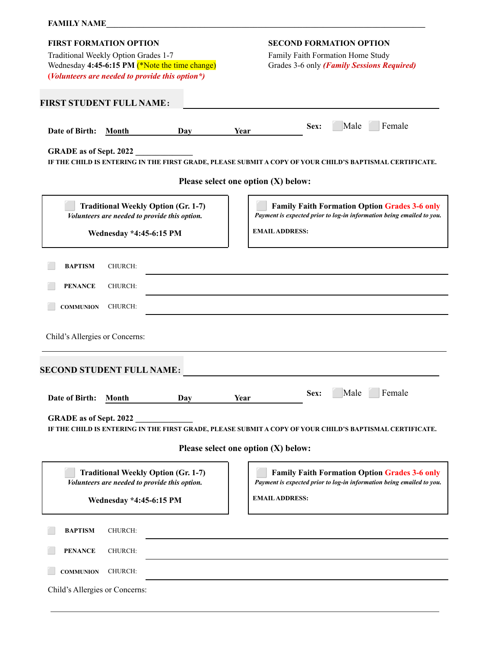### **FAMILY NAME\_\_\_\_\_\_\_\_\_\_\_\_\_\_\_\_\_\_\_\_\_\_\_\_\_\_\_\_\_\_\_\_\_\_\_\_\_\_\_\_\_\_\_\_\_\_\_\_\_\_\_\_\_\_\_\_\_\_\_\_\_\_\_\_\_\_\_\_\_\_\_\_\_\_\_\_\_\_**

| Traditional Weekly Option Grades 1-7                                                              | <b>SECOND FORMATION OPTION</b>                                                                                                |
|---------------------------------------------------------------------------------------------------|-------------------------------------------------------------------------------------------------------------------------------|
|                                                                                                   | Family Faith Formation Home Study                                                                                             |
| Wednesday 4:45-6:15 PM (*Note the time change)<br>(Volunteers are needed to provide this option*) | Grades 3-6 only (Family Sessions Required)                                                                                    |
|                                                                                                   |                                                                                                                               |
| <b>FIRST STUDENT FULL NAME:</b>                                                                   |                                                                                                                               |
|                                                                                                   | Male<br>Female<br>Sex:                                                                                                        |
| Date of Birth:<br>Month<br>Day                                                                    | Year                                                                                                                          |
| GRADE as of Sept. 2022                                                                            |                                                                                                                               |
|                                                                                                   | IF THE CHILD IS ENTERING IN THE FIRST GRADE, PLEASE SUBMIT A COPY OF YOUR CHILD'S BAPTISMAL CERTIFICATE.                      |
| Please select one option (X) below:                                                               |                                                                                                                               |
| <b>Traditional Weekly Option (Gr. 1-7)</b>                                                        | <b>Family Faith Formation Option Grades 3-6 only</b>                                                                          |
| Volunteers are needed to provide this option.                                                     | Payment is expected prior to log-in information being emailed to you.                                                         |
| <b>Wednesday *4:45-6:15 PM</b>                                                                    | <b>EMAIL ADDRESS:</b>                                                                                                         |
|                                                                                                   |                                                                                                                               |
| <b>BAPTISM</b><br>CHURCH:                                                                         |                                                                                                                               |
| <b>PENANCE</b><br>CHURCH:                                                                         |                                                                                                                               |
| CHURCH:<br><b>COMMUNION</b>                                                                       |                                                                                                                               |
|                                                                                                   |                                                                                                                               |
| Child's Allergies or Concerns:                                                                    |                                                                                                                               |
|                                                                                                   |                                                                                                                               |
|                                                                                                   |                                                                                                                               |
| <b>SECOND STUDENT FULL NAME:</b><br>Date of Birth:<br>Day<br>Month                                | Female<br>Male<br>Sex:<br>Year                                                                                                |
| <b>GRADE</b> as of Sept. 2022                                                                     |                                                                                                                               |
|                                                                                                   | IF THE CHILD IS ENTERING IN THE FIRST GRADE, PLEASE SUBMIT A COPY OF YOUR CHILD'S BAPTISMAL CERTIFICATE.                      |
|                                                                                                   | Please select one option (X) below:                                                                                           |
|                                                                                                   |                                                                                                                               |
| <b>Traditional Weekly Option (Gr. 1-7)</b><br>Volunteers are needed to provide this option.       | <b>Family Faith Formation Option Grades 3-6 only</b><br>Payment is expected prior to log-in information being emailed to you. |
|                                                                                                   | <b>EMAIL ADDRESS:</b>                                                                                                         |
| Wednesday *4:45-6:15 PM                                                                           |                                                                                                                               |
| <b>BAPTISM</b><br>CHURCH:                                                                         |                                                                                                                               |
| <b>PENANCE</b><br>CHURCH:                                                                         |                                                                                                                               |
| CHURCH:<br><b>COMMUNION</b>                                                                       |                                                                                                                               |